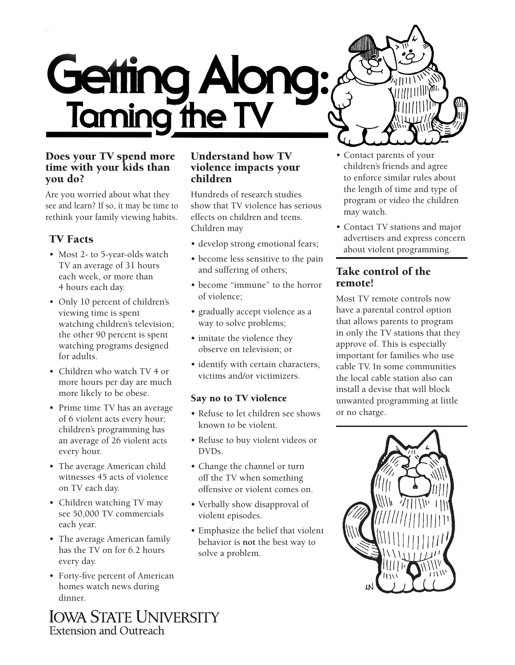

### Does your TV spend more time with your kids than you do?

Are you worried about what they see and learn? If so, it may be time to rethink your family viewing habits.

# TV Facts

- Most 2- to 5-year-olds watch TV an average of 31 hours each week, or more than 4 hours each day.
- Only 10 percent of children's viewing time is spent watching children's television; the other 90 percent is spent watching programs designed for adults.
- Children who watch TV 4 or more hours per day are much more likely to be obese.
- Prime time TV has an average of 6 violent acts every hour; children's programming has an average of 26 violent acts every hour.
- The average American child witnesses 45 acts of violence on TV each day.
- Children watching TV may see 50,000 TV commercials each year.
- The average American family has the TV on for 6.2 hours every day.
- Forty-five percent of American homes watch news during dinner.

#### Understand how TV violence impacts your children

Hundreds of research studies show that TV violence has serious effects on children and teens. Children may

- develop strong emotional fears;
- become less sensitive to the pain and suffering of others;
- become "immune" to the horror of violence;
- gradually accept violence as a way to solve problems;
- imitate the violence they observe on television; or
- identify with certain characters, victims and/or victimizers.

#### Say no to TV violence

- Refuse to let children see shows known to be violent.
- Refuse to buy violent videos or DVDs.
- Change the channel or turn off the TV when something offensive or violent comes on.
- Verbally show disapproval of violent episodes.
- Emphasize the belief that violent behavior is **not** the best way to solve a problem.
- Contact parents of your children's friends and agree to enforce similar rules about the length of time and type of program or video the children may watch.
- Contact TV stations and major advertisers and express concern about violent programming.

# Take control of the remote!

Most TV remote controls now have a parental control option that allows parents to program in only the TV stations that they approve of. This is especially important for families who use cable TV. In some communities the local cable station also can install a devise that will block unwanted programming at little or no charge.



**IOWA STATE UNIVERSITY Extension and Outreach**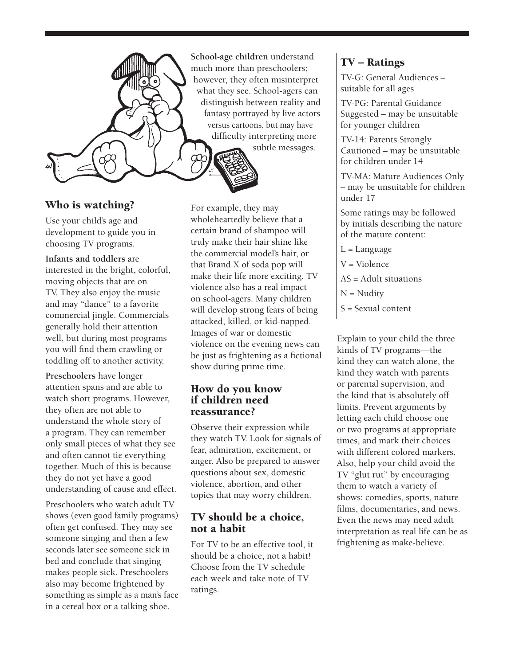

### Who is watching?

Use your child's age and development to guide you in choosing TV programs.

#### **Infants and toddlers** are

interested in the bright, colorful, moving objects that are on TV. They also enjoy the music and may "dance" to a favorite commercial jingle. Commercials generally hold their attention well, but during most programs you will find them crawling or toddling off to another activity.

**Preschoolers** have longer attention spans and are able to watch short programs. However, they often are not able to understand the whole story of a program. They can remember only small pieces of what they see and often cannot tie everything together. Much of this is because they do not yet have a good understanding of cause and effect.

Preschoolers who watch adult TV shows (even good family programs) often get confused. They may see someone singing and then a few seconds later see someone sick in bed and conclude that singing makes people sick. Preschoolers also may become frightened by something as simple as a man's face in a cereal box or a talking shoe.

**School-age children** understand much more than preschoolers; however, they often misinterpret what they see. School-agers can distinguish between reality and fantasy portrayed by live actors versus cartoons, but may have difficulty interpreting more subtle messages.

For example, they may wholeheartedly believe that a certain brand of shampoo will truly make their hair shine like the commercial model's hair, or that Brand X of soda pop will make their life more exciting. TV violence also has a real impact on school-agers. Many children will develop strong fears of being attacked, killed, or kid-napped. Images of war or domestic violence on the evening news can be just as frightening as a fictional show during prime time.

### How do you know if children need reassurance?

Observe their expression while they watch TV. Look for signals of fear, admiration, excitement, or anger. Also be prepared to answer questions about sex, domestic violence, abortion, and other topics that may worry children.

### TV should be a choice, not a habit

For TV to be an effective tool, it should be a choice, not a habit! Choose from the TV schedule each week and take note of TV ratings.

### TV – Ratings

TV-G: General Audiences – suitable for all ages

TV-PG: Parental Guidance Suggested – may be unsuitable for younger children

TV-14: Parents Strongly Cautioned – may be unsuitable for children under 14

TV-MA: Mature Audiences Only – may be unsuitable for children under 17

Some ratings may be followed by initials describing the nature of the mature content:

L = Language V = Violence

AS = Adult situations

N = Nudity

S = Sexual content

Explain to your child the three kinds of TV programs—the kind they can watch alone, the kind they watch with parents or parental supervision, and the kind that is absolutely off limits. Prevent arguments by letting each child choose one or two programs at appropriate times, and mark their choices with different colored markers. Also, help your child avoid the TV "glut rut" by encouraging them to watch a variety of shows: comedies, sports, nature films, documentaries, and news. Even the news may need adult interpretation as real life can be as frightening as make-believe.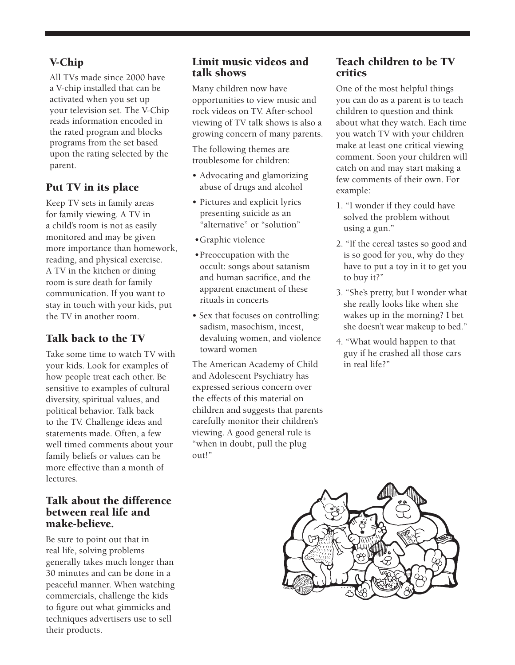# V-Chip

All TVs made since 2000 have a V-chip installed that can be activated when you set up your television set. The V-Chip reads information encoded in the rated program and blocks programs from the set based upon the rating selected by the parent.

# Put TV in its place

Keep TV sets in family areas for family viewing. A TV in a child's room is not as easily monitored and may be given more importance than homework, reading, and physical exercise. A TV in the kitchen or dining room is sure death for family communication. If you want to stay in touch with your kids, put the TV in another room.

# Talk back to the TV

Take some time to watch TV with your kids. Look for examples of how people treat each other. Be sensitive to examples of cultural diversity, spiritual values, and political behavior. Talk back to the TV. Challenge ideas and statements made. Often, a few well timed comments about your family beliefs or values can be more effective than a month of lectures.

#### Talk about the difference between real life and make-believe.

Be sure to point out that in real life, solving problems generally takes much longer than 30 minutes and can be done in a peaceful manner. When watching commercials, challenge the kids to figure out what gimmicks and techniques advertisers use to sell their products.

# Limit music videos and talk shows

Many children now have opportunities to view music and rock videos on TV. After-school viewing of TV talk shows is also a growing concern of many parents.

The following themes are troublesome for children:

- Advocating and glamorizing abuse of drugs and alcohol
- Pictures and explicit lyrics presenting suicide as an "alternative" or "solution"
- •Graphic violence
- •Preoccupation with the occult: songs about satanism and human sacrifice, and the apparent enactment of these rituals in concerts
- Sex that focuses on controlling: sadism, masochism, incest, devaluing women, and violence toward women

The American Academy of Child and Adolescent Psychiatry has expressed serious concern over the effects of this material on children and suggests that parents carefully monitor their children's viewing. A good general rule is "when in doubt, pull the plug out!"

# Teach children to be TV critics

One of the most helpful things you can do as a parent is to teach children to question and think about what they watch. Each time you watch TV with your children make at least one critical viewing comment. Soon your children will catch on and may start making a few comments of their own. For example:

- 1. "I wonder if they could have solved the problem without using a gun."
- 2. "If the cereal tastes so good and is so good for you, why do they have to put a toy in it to get you to buy it?"
- 3. "She's pretty, but I wonder what she really looks like when she wakes up in the morning? I bet she doesn't wear makeup to bed."
- 4. "What would happen to that guy if he crashed all those cars in real life?"